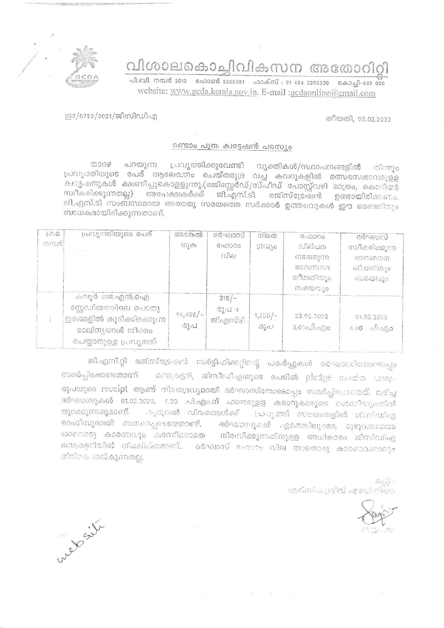വിശാലകൊച്ചിവികസന അതോറിറി



.<br>പി.ബി. നമ്പർ 2012 - ഫോൺ 2205061 - ഫാക്സ് : 91 484 2206230 - കൊച്ചി-682 020 website: www.gcda.kerala.gov.in. E-mail :gcdaonline@gmail.com

## തീയതി, 02.02.2022

ഇ2/6722/2021/ജിസിഡിഎ

## രണ്ടാം പുന: ക്വട്ടേഷൻ പരസ്യം

താഴെ പറയുന്ന പ്രവൃത്തിക്കുവേണ്ടി വ്യക്തികൾ/സ്ഥാപനങ്ങളിൽ നിന്നും പ്രവൃത്തിയുടെ പേര് ആലേഖനം ചെയ്തമുദ്ര വച്ച കവറുകളിൽ മത്സരസ്വഭാവമുളള ക്ഷട്ടഷനുകൾ ക്ഷണിച്ചുകൊളളുന്നു.(രജിസ്റ്റേർഡ്/സ്പീഡ് പോസ്റ്റ്വഴി മാത്രം, കൊറിയർ സ്ഥീകരിക്കുന്നതല്ല) അപേക്ഷകർക്ക് ജി.എസ്.ടി. രജിസ്ട്രേഷൻ ഉണ്ടായിരിക്കണം. ജി.എസ്.ടി സംബന്ധമായ അതാതു സമയത്തെ സർക്കാർ ഉത്തരവുകൾ ഈ ടെണ്ടറിനും ബാധകമായിരിക്കുന്നതാണ്.

| $(\bigcirc \Omega)$ | പ്രവ്യത്തിയുടെ പേര്                                                                                                | അടങ്കൽ            | ദർഘാസ്                                      | നിരത             | ഫോററ                                                        | agueloun                                       |
|---------------------|--------------------------------------------------------------------------------------------------------------------|-------------------|---------------------------------------------|------------------|-------------------------------------------------------------|------------------------------------------------|
| നമ്പരി              |                                                                                                                    | $\omega$ )        | 0.0000<br>$O$ $\hat{P}$                     | rechte           | വില്പന<br>നടത്തുന്ന<br>അവസാന<br>ര്വീയതിയും<br>$(1000001)$ o | സ്വീകരിക്കുന്ന<br>COMMON<br>തീയതിയും<br>സമയവും |
|                     | കലൂർ ജെ.എൻ.ഐ<br>സ്റ്റേഡിയത്തിലെ പൊതു<br>'ഇടങ്ങളിൽ 'കൂടിക്കിടക്കുന്ന<br>മാലിന്യങ്ങൾ നീക്കം<br>ചെയ്യാനുള്ള പ്രവൃത്തി | $48,386/-$<br>രൂപ | $315/-$<br>$\omega_{\rm d}$ al +<br>ജിഎസ്ടി | $1,250/-$<br>രൂപ | 23.02.2022<br>$3.05$ all.ago                                | 01.03.2022<br>$4.00 - 3.0.50$                  |

ജി.എസ്.റ്റി രജിസ്ട്രേഷൻ സർട്ടിഫിക്കറ്റിന്റെ പകർപ്പുകൾ ദർഘാഡിനോടൊപ്പം സെക്രട്ടറി, ജിസിഡിഎയുടെ പേരിൽ pledge കെയ്ത 1,250/-സമർപ്പിക്കേണ്ടതാണ്. രൂപയുടെ receipt ആണ് നിരതദ്രവ്യമായി ദർഘാസിനോടൊപ്പം സമർപ്പിക്കേണ്ടത്. ലഭിച്ച ദർഘാസുകൾ 01.03.2022, 1.30 പി.എം.ന് ഹാജരുളള കരാറുകാരുടെ സാന്നിയുത്തിൽ കൂടുതൽ വിവരങ്ങൾക്ക് 'ച്രവൃത്തി സമയങ്ങളിൽ ജിസിഡിഎ തുറക്കുന്നതുമാണ്. ഓഫീസുമായി ബന്ധപ്പെടേണ്ടതാണ്. ദർഘാസുകൾ ഏതെങ്കിലുമോ, മുഴുവനായോ യാതൊരു കാരണവും കാരനിക്കാതെ നിരസിക്കുന്നതിനുളള അധികാരം ജിസിഡിഎ സെക്രട്ടറിയിൽ നിക്ഷിപ്തമാണ്. ദർഘാസ് ഹോറം വില യാതൊരു കാരണവശാലൂം തിരികെ തൽകുന്നതല്ല.

> $\mathfrak{Gg}$ എക്സിക്യെട്ടിവ് എഞ്ചിതിയാ